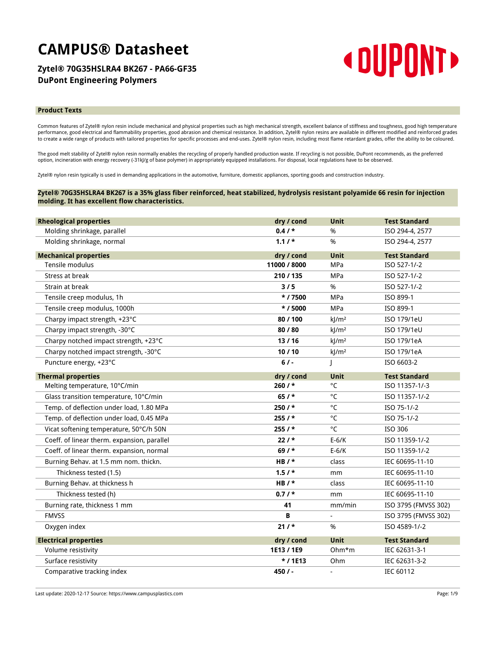# **CAMPUS® Datasheet**

## **Zytel® 70G35HSLRA4 BK267 - PA66-GF35 DuPont Engineering Polymers**



### **Product Texts**

Common features of Zytel® nylon resin include mechanical and physical properties such as high mechanical strength, excellent balance of stiffness and toughness, good high temperature<br>performance, good electrical and flamma

The good melt stability of Zytel® nylon resin normally enables the recycling of properly handled production waste. If recycling is not possible, DuPont recommends, as the preferred option, incineration with energy recovery (-31kJ/g of base polymer) in appropriately equipped installations. For disposal, local regulations have to be observed.

Zytel® nylon resin typically is used in demanding applications in the automotive, furniture, domestic appliances, sporting goods and construction industry.

## **Zytel® 70G35HSLRA4 BK267 is a 35% glass fiber reinforced, heat stabilized, hydrolysis resistant polyamide 66 resin for injection molding. It has excellent flow characteristics.**

| <b>Rheological properties</b>               | dry / cond   | <b>Unit</b>         | <b>Test Standard</b> |
|---------------------------------------------|--------------|---------------------|----------------------|
| Molding shrinkage, parallel                 | $0.4/$ *     | %                   | ISO 294-4, 2577      |
| Molding shrinkage, normal                   | $1.1/$ *     | $\%$                | ISO 294-4, 2577      |
| <b>Mechanical properties</b>                | dry / cond   | <b>Unit</b>         | <b>Test Standard</b> |
| Tensile modulus                             | 11000 / 8000 | <b>MPa</b>          | ISO 527-1/-2         |
| Stress at break                             | 210 / 135    | MPa                 | ISO 527-1/-2         |
| Strain at break                             | 3/5          | %                   | ISO 527-1/-2         |
| Tensile creep modulus, 1h                   | $*$ / 7500   | <b>MPa</b>          | ISO 899-1            |
| Tensile creep modulus, 1000h                | $*$ / 5000   | <b>MPa</b>          | ISO 899-1            |
| Charpy impact strength, +23°C               | 80 / 100     | $k$ /m <sup>2</sup> | ISO 179/1eU          |
| Charpy impact strength, -30°C               | 80/80        | $k$ /m <sup>2</sup> | ISO 179/1eU          |
| Charpy notched impact strength, +23°C       | 13/16        | $k$ /m <sup>2</sup> | ISO 179/1eA          |
| Charpy notched impact strength, -30°C       | 10/10        | kJ/m <sup>2</sup>   | ISO 179/1eA          |
| Puncture energy, +23°C                      | 6/           |                     | ISO 6603-2           |
| <b>Thermal properties</b>                   | dry / cond   | Unit                | <b>Test Standard</b> |
| Melting temperature, 10°C/min               | $260/$ *     | °C                  | ISO 11357-1/-3       |
| Glass transition temperature, 10°C/min      | $65/$ *      | °C                  | ISO 11357-1/-2       |
| Temp. of deflection under load, 1.80 MPa    | 250 / *      | °C                  | ISO 75-1/-2          |
| Temp. of deflection under load, 0.45 MPa    | 255/         | °C                  | ISO 75-1/-2          |
| Vicat softening temperature, 50°C/h 50N     | 255/         | °C                  | ISO 306              |
| Coeff. of linear therm. expansion, parallel | $22/$ *      | $E-6/K$             | ISO 11359-1/-2       |
| Coeff. of linear therm. expansion, normal   | $69/$ *      | $E-6/K$             | ISO 11359-1/-2       |
| Burning Behav. at 1.5 mm nom. thickn.       | HB $/$ *     | class               | IEC 60695-11-10      |
| Thickness tested (1.5)                      | $1.5/$ *     | mm                  | IEC 60695-11-10      |
| Burning Behav. at thickness h               | $HB/$ *      | class               | IEC 60695-11-10      |
| Thickness tested (h)                        | $0.7/$ *     | mm                  | IEC 60695-11-10      |
| Burning rate, thickness 1 mm                | 41           | mm/min              | ISO 3795 (FMVSS 302) |
| <b>FMVSS</b>                                | В            | $\blacksquare$      | ISO 3795 (FMVSS 302) |
| Oxygen index                                | $21/$ *      | %                   | ISO 4589-1/-2        |
| <b>Electrical properties</b>                | dry / cond   | <b>Unit</b>         | <b>Test Standard</b> |
| Volume resistivity                          | 1E13 / 1E9   | $Ohm*m$             | IEC 62631-3-1        |
| Surface resistivity                         | */1E13       | Ohm                 | IEC 62631-3-2        |
| Comparative tracking index                  | 450/         |                     | IEC 60112            |

Last update: 2020-12-17 Source: https://www.campusplastics.com Page: 1/9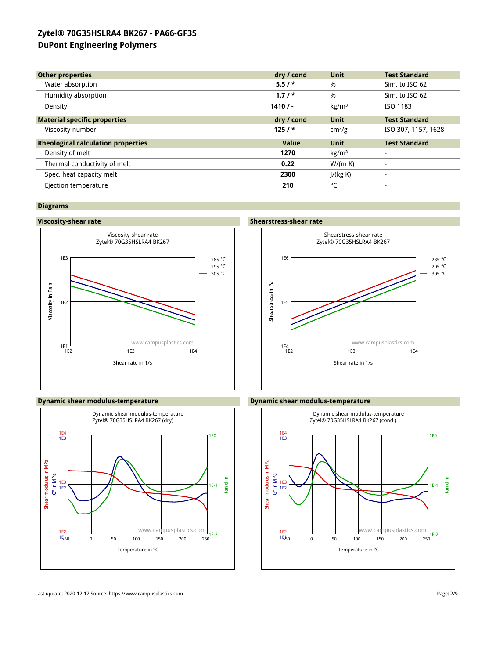| <b>Other properties</b>                   | dry / cond | Unit               | <b>Test Standard</b>     |
|-------------------------------------------|------------|--------------------|--------------------------|
| Water absorption                          | $5.5/$ *   | %                  | Sim. to ISO 62           |
| Humidity absorption                       | $1.7/$ *   | %                  | Sim. to ISO 62           |
|                                           |            |                    |                          |
| Density                                   | 1410/      | kg/m <sup>3</sup>  | ISO 1183                 |
| <b>Material specific properties</b>       | dry / cond | Unit               | <b>Test Standard</b>     |
| Viscosity number                          | 125/       | cm <sup>3</sup> /g | ISO 307, 1157, 1628      |
| <b>Rheological calculation properties</b> | Value      | <b>Unit</b>        | <b>Test Standard</b>     |
| Density of melt                           | 1270       | kg/m <sup>3</sup>  |                          |
| Thermal conductivity of melt              | 0.22       | W/(m K)            |                          |
| Spec. heat capacity melt                  | 2300       | J/(kg K)           |                          |
| Ejection temperature                      | 210        | °C                 | $\overline{\phantom{a}}$ |

## **Diagrams**







## **Viscosity-shear rate Shearstress-shear rate**



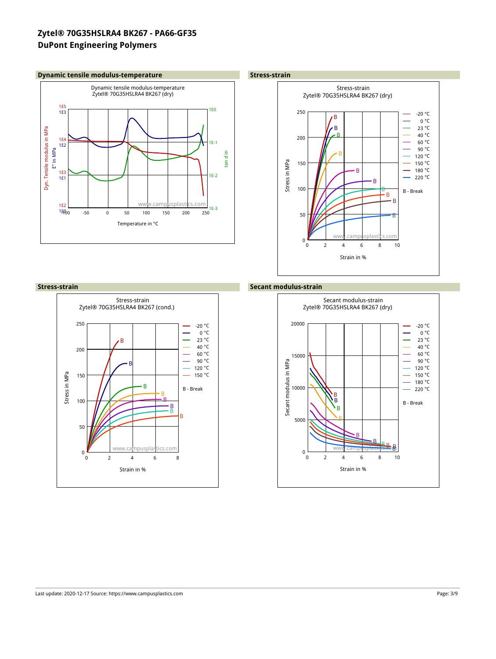## **Dynamic tensile modulus-temperature** *CONDERNIA Stress-strain*







## **Stress-strain Secant modulus-strain**

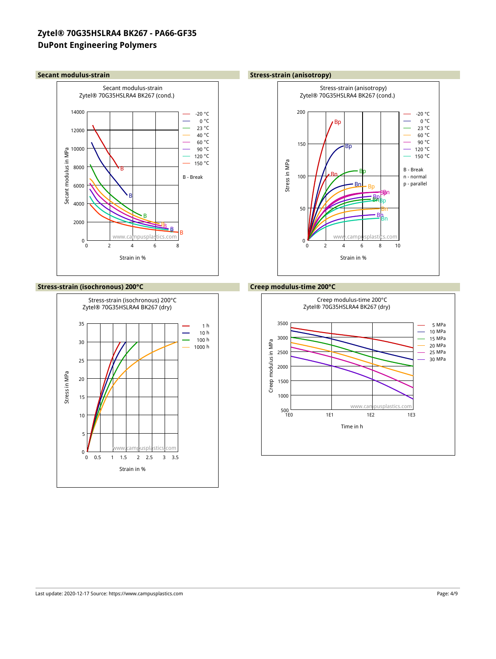

## **Stress-strain (isochronous) 200°C Creep modulus-time 200°C**



### **Secant modulus-strain Stress-strain (anisotropy)**



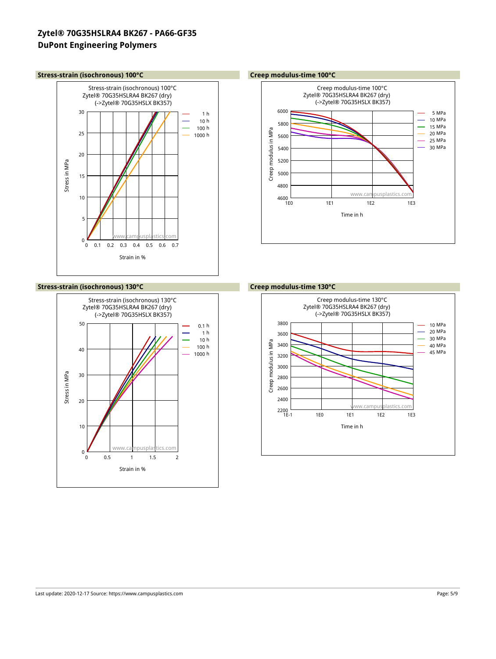## **Stress-strain (isochronous) 100°C Creep modulus-time 100°C**



## **Stress-strain (isochronous) 130°C Creep modulus-time 130°C**



### Creep modulus-time 100°C Zytel® 70G35HSLRA4 BK267 (dry) (->Zytel® 70G35HSLX BK357) MPa MPa MPa Creep modulus in MPa Creep modulus in MPa MPa MPa MPa www.campusplastics  $+ 150$ 1E0 1E1 1E2 1E3 Time in h

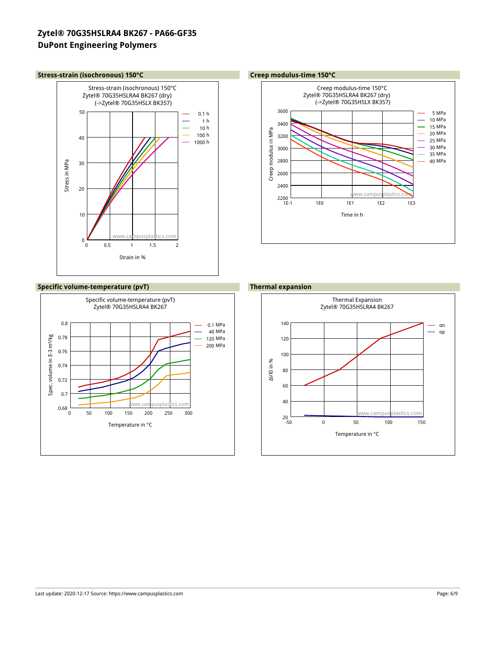### **Stress-strain (isochronous) 150°C Creep modulus-time 150°C**



## **Specific volume-temperature (pvT) Thermal expansion**



### Creep modulus-time 150°C Zytel® 70G35HSLRA4 BK267 (dry) (->Zytel® 70G35HSLX BK357) 3600 5 MPa 10 MPa 3400 15 MPa Creep modulus in MPa Creep modulus in MPa 20 MPa 3200 25 MPa 30 MPa 3000 35 MPa 2800 40 MPa 2600 2400 www.campusplastics.com  $2200$   $+$ <br>1E-1 1E-1 1E0 1E1 1E2 1E3 Time in h



### Last update: 2020-12-17 Source: https://www.campusplastics.com Page: 6/9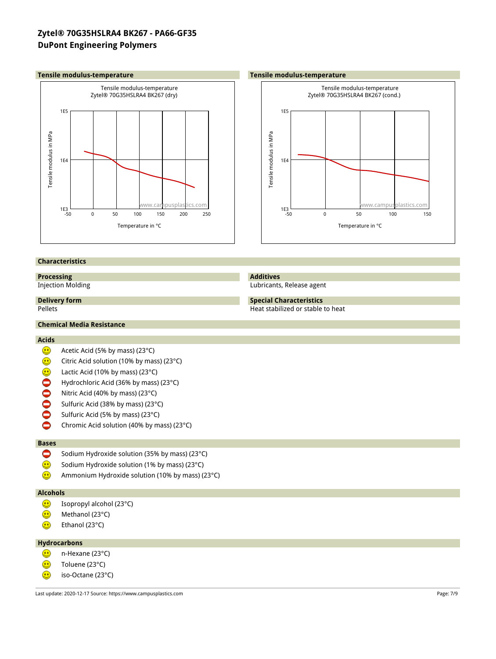



## **Characteristics**

## **Processing**

Injection Molding

**Delivery form**

## **Additives**

Lubricants, Release agent

## **Special Characteristics** Heat stabilized or stable to heat

Pellets

## **Chemical Media Resistance**

## **Acids**

- $\textcircled{\scriptsize{1}}$ Acetic Acid (5% by mass) (23°C)
- Citric Acid solution (10% by mass) (23°C)
- $000000$ Lactic Acid (10% by mass) (23°C)
- Hydrochloric Acid (36% by mass) (23°C)
- Nitric Acid (40% by mass) (23°C)
- Sulfuric Acid (38% by mass) (23°C)
- Sulfuric Acid (5% by mass) (23°C)
- $\bullet$ Chromic Acid solution (40% by mass) (23°C)

## **Bases**

- $\bullet$ Sodium Hydroxide solution (35% by mass) (23°C)
- $\bigcirc$ Sodium Hydroxide solution (1% by mass) (23°C)
- $\textcircled{\small{1}}$ Ammonium Hydroxide solution (10% by mass) (23°C)

## **Alcohols**

- $\bigcirc$ Isopropyl alcohol (23°C)
- $\bigcirc$ Methanol (23°C)
- $\bigcirc$ Ethanol (23°C)

## **Hydrocarbons**

- $\textcircled{\scriptsize{1}}$ n-Hexane (23°C)
- ٨ Toluene (23°C)
- $\bigcirc$ iso-Octane (23°C)

Last update: 2020-12-17 Source: https://www.campusplastics.com Page: 7/9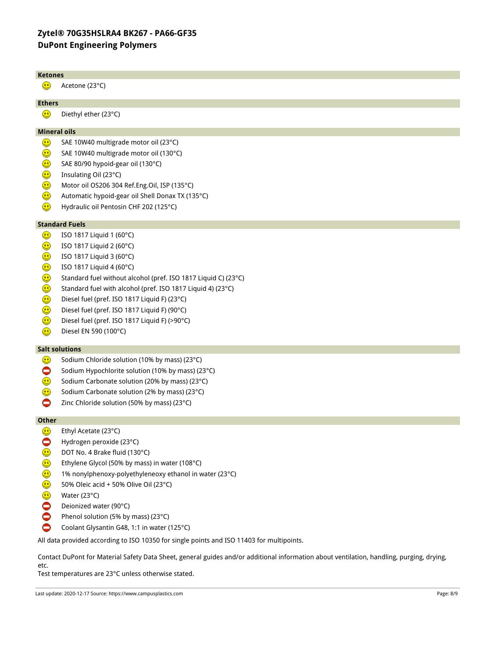### **Ketones**  $\bigodot$ Acetone (23°C) **Ethers**  $\bigcirc$ Diethyl ether (23°C) **Mineral oils**  $\bigodot$ SAE 10W40 multigrade motor oil (23°C)  $\bm{\Theta}$ SAE 10W40 multigrade motor oil (130°C)  $\textcircled{\small{1}}$ SAE 80/90 hypoid-gear oil (130°C)  $\bigcirc$ Insulating Oil (23°C)  $\bigcirc$ Motor oil OS206 304 Ref.Eng.Oil, ISP (135°C)  $\bigcirc$ Automatic hypoid-gear oil Shell Donax TX (135°C)  $\bigodot$ Hydraulic oil Pentosin CHF 202 (125°C) **Standard Fuels** ⊕ ISO 1817 Liquid 1 (60°C) ⊕ ISO 1817 Liquid 2 (60°C)  $\bigcirc$ ISO 1817 Liquid 3 (60°C) ⊕ ISO 1817 Liquid 4 (60°C) ⊕ Standard fuel without alcohol (pref. ISO 1817 Liquid C) (23°C)  $\bigcirc$ Standard fuel with alcohol (pref. ISO 1817 Liquid 4) (23°C) ⊕ Diesel fuel (pref. ISO 1817 Liquid F) (23°C) ⊕ Diesel fuel (pref. ISO 1817 Liquid F) (90°C)  $\bigcirc$ Diesel fuel (pref. ISO 1817 Liquid F) (>90°C)  $\bigodot$ Diesel EN 590 (100°C) **Salt solutions**

- $\bigodot$ Sodium Chloride solution (10% by mass) (23°C)
- 0 Sodium Hypochlorite solution (10% by mass) (23°C)
- $\textcircled{\small{1}}$ Sodium Carbonate solution (20% by mass) (23°C)
- ⊕ Sodium Carbonate solution (2% by mass) (23°C)
- ٥ Zinc Chloride solution (50% by mass) (23°C)

## **Other**

- ۵ Ethyl Acetate (23°C)
- $\bullet$ Hydrogen peroxide (23°C)
- ۵ DOT No. 4 Brake fluid (130°C)
- ☺ Ethylene Glycol (50% by mass) in water (108°C)
- ♥ 1% nonylphenoxy-polyethyleneoxy ethanol in water (23°C)
- ⊕ 50% Oleic acid + 50% Olive Oil (23°C)
- ⊕ Water (23°C)
- ŏ Deionized water (90°C)
- $\sum$ Phenol solution (5% by mass) (23°C)
- ٥ Coolant Glysantin G48, 1:1 in water (125°C)

All data provided according to ISO 10350 for single points and ISO 11403 for multipoints.

Contact DuPont for Material Safety Data Sheet, general guides and/or additional information about ventilation, handling, purging, drying, etc.

Test temperatures are 23°C unless otherwise stated.

Last update: 2020-12-17 Source: https://www.campusplastics.com Page: 8/9